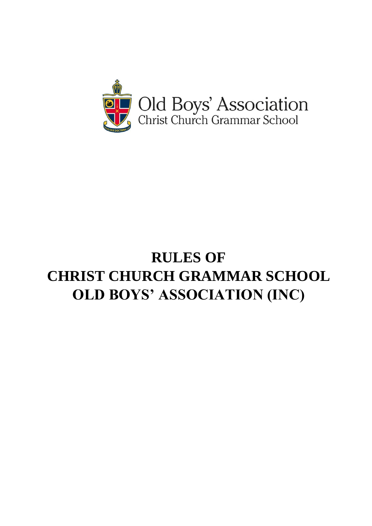

# **RULES OF CHRIST CHURCH GRAMMAR SCHOOL OLD BOYS' ASSOCIATION (INC)**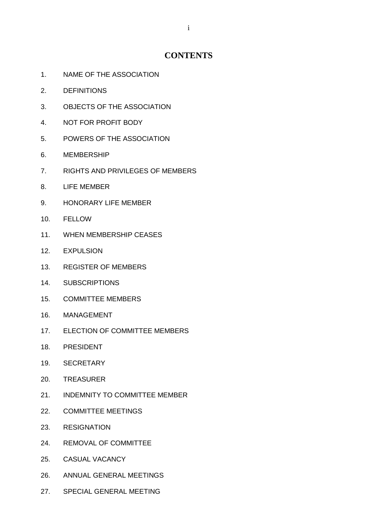# **CONTENTS**

- 1. NAME OF THE ASSOCIATION
- 2. DEFINITIONS
- 3. OBJECTS OF THE ASSOCIATION
- 4. NOT FOR PROFIT BODY
- 5. POWERS OF THE ASSOCIATION
- 6. MEMBERSHIP
- 7. RIGHTS AND PRIVILEGES OF MEMBERS
- 8. LIFE MEMBER
- 9. HONORARY LIFE MEMBER
- 10. FELLOW
- 11. WHEN MEMBERSHIP CEASES
- 12. EXPULSION
- 13. REGISTER OF MEMBERS
- 14. SUBSCRIPTIONS
- 15. COMMITTEE MEMBERS
- 16. MANAGEMENT
- 17. ELECTION OF COMMITTEE MEMBERS
- 18. PRESIDENT
- 19. SECRETARY
- 20. TREASURER
- 21. INDEMNITY TO COMMITTEE MEMBER
- 22. COMMITTEE MEETINGS
- 23. RESIGNATION
- 24. REMOVAL OF COMMITTEE
- 25. CASUAL VACANCY
- 26. ANNUAL GENERAL MEETINGS
- 27. SPECIAL GENERAL MEETING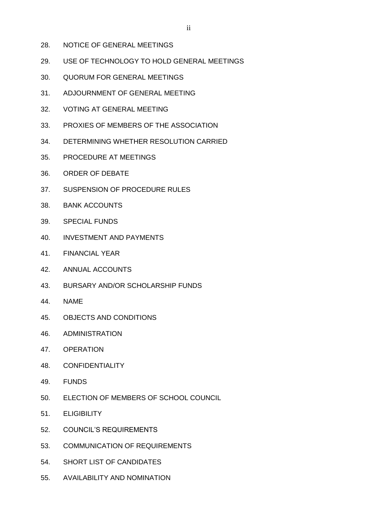- 28. NOTICE OF GENERAL MEETINGS
- 29. USE OF TECHNOLOGY TO HOLD GENERAL MEETINGS
- 30. QUORUM FOR GENERAL MEETINGS
- 31. ADJOURNMENT OF GENERAL MEETING
- 32. VOTING AT GENERAL MEETING
- 33. PROXIES OF MEMBERS OF THE ASSOCIATION
- 34. DETERMINING WHETHER RESOLUTION CARRIED
- 35. PROCEDURE AT MEETINGS
- 36. ORDER OF DEBATE
- 37. SUSPENSION OF PROCEDURE RULES
- 38. BANK ACCOUNTS
- 39. SPECIAL FUNDS
- 40. INVESTMENT AND PAYMENTS
- 41. FINANCIAL YEAR
- 42. ANNUAL ACCOUNTS
- 43. BURSARY AND/OR SCHOLARSHIP FUNDS
- 44. NAME
- 45. OBJECTS AND CONDITIONS
- 46. ADMINISTRATION
- 47. OPERATION
- 48. CONFIDENTIALITY
- 49. FUNDS
- 50. ELECTION OF MEMBERS OF SCHOOL COUNCIL
- 51. ELIGIBILITY
- 52. COUNCIL'S REQUIREMENTS
- 53. COMMUNICATION OF REQUIREMENTS
- 54. SHORT LIST OF CANDIDATES
- 55. AVAILABILITY AND NOMINATION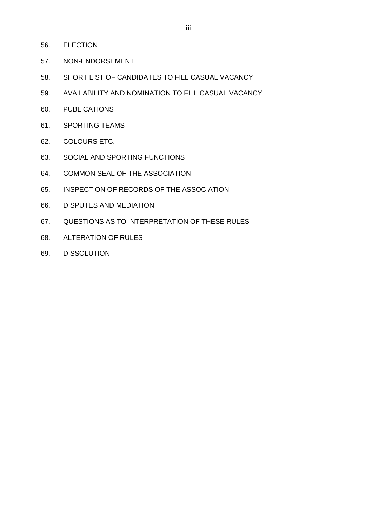- 56. ELECTION
- 57. NON-ENDORSEMENT
- 58. SHORT LIST OF CANDIDATES TO FILL CASUAL VACANCY
- 59. AVAILABILITY AND NOMINATION TO FILL CASUAL VACANCY
- 60. PUBLICATIONS
- 61. SPORTING TEAMS
- 62. COLOURS ETC.
- 63. SOCIAL AND SPORTING FUNCTIONS
- 64. COMMON SEAL OF THE ASSOCIATION
- 65. INSPECTION OF RECORDS OF THE ASSOCIATION
- 66. DISPUTES AND MEDIATION
- 67. QUESTIONS AS TO INTERPRETATION OF THESE RULES
- 68. ALTERATION OF RULES
- 69. DISSOLUTION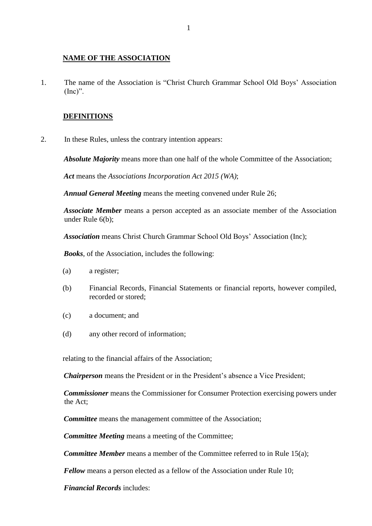#### **NAME OF THE ASSOCIATION**

1. The name of the Association is "Christ Church Grammar School Old Boys' Association  $(Inc)$ ".

#### **DEFINITIONS**

2. In these Rules, unless the contrary intention appears:

*Absolute Majority* means more than one half of the whole Committee of the Association;

*Act* means the *Associations Incorporation Act 2015 (WA)*;

*Annual General Meeting* means the meeting convened under Rule 26;

*Associate Member* means a person accepted as an associate member of the Association under Rule 6(b);

*Association* means Christ Church Grammar School Old Boys' Association (Inc);

*Books*, of the Association, includes the following:

- (a) a register;
- (b) Financial Records, Financial Statements or financial reports, however compiled, recorded or stored;
- (c) a document; and
- (d) any other record of information;

relating to the financial affairs of the Association;

*Chairperson* means the President or in the President's absence a Vice President;

*Commissioner* means the Commissioner for Consumer Protection exercising powers under the Act;

*Committee* means the management committee of the Association;

*Committee Meeting* means a meeting of the Committee;

*Committee Member* means a member of the Committee referred to in Rule 15(a);

*Fellow* means a person elected as a fellow of the Association under Rule 10;

*Financial Records* includes: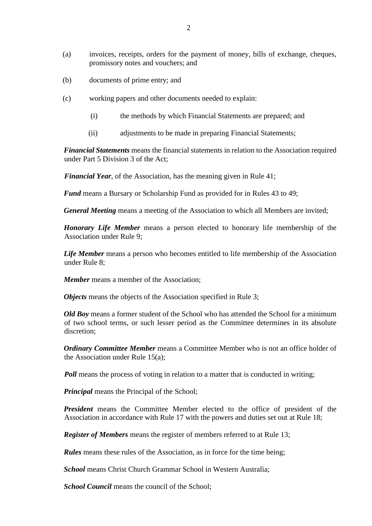- (b) documents of prime entry; and
- (c) working papers and other documents needed to explain:
	- (i) the methods by which Financial Statements are prepared; and
	- (ii) adjustments to be made in preparing Financial Statements;

*Financial Statements* means the financial statements in relation to the Association required under Part 5 Division 3 of the Act;

*Financial Year*, of the Association, has the meaning given in Rule 41;

*Fund* means a Bursary or Scholarship Fund as provided for in Rules 43 to 49;

*General Meeting* means a meeting of the Association to which all Members are invited;

*Honorary Life Member* means a person elected to honorary life membership of the Association under Rule 9;

*Life Member* means a person who becomes entitled to life membership of the Association under Rule 8;

*Member* means a member of the Association;

*Objects* means the objects of the Association specified in Rule 3;

*Old Boy* means a former student of the School who has attended the School for a minimum of two school terms, or such lesser period as the Committee determines in its absolute discretion;

*Ordinary Committee Member* means a Committee Member who is not an office holder of the Association under Rule 15(a);

*Poll* means the process of voting in relation to a matter that is conducted in writing;

*Principal* means the Principal of the School;

*President* means the Committee Member elected to the office of president of the Association in accordance with Rule 17 with the powers and duties set out at Rule 18;

*Register of Members* means the register of members referred to at Rule 13;

*Rules* means these rules of the Association, as in force for the time being;

*School* means Christ Church Grammar School in Western Australia;

*School Council* means the council of the School;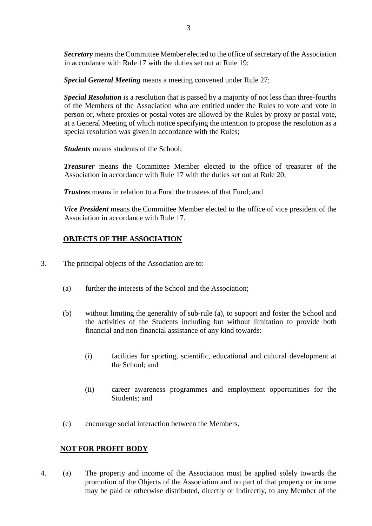**Secretary** means the Committee Member elected to the office of secretary of the Association in accordance with Rule 17 with the duties set out at Rule 19;

*Special General Meeting* means a meeting convened under Rule 27;

*Special Resolution* is a resolution that is passed by a majority of not less than three-fourths of the Members of the Association who are entitled under the Rules to vote and vote in person or, where proxies or postal votes are allowed by the Rules by proxy or postal vote, at a General Meeting of which notice specifying the intention to propose the resolution as a special resolution was given in accordance with the Rules;

*Students* means students of the School;

*Treasurer* means the Committee Member elected to the office of treasurer of the Association in accordance with Rule 17 with the duties set out at Rule 20;

*Trustees* means in relation to a Fund the trustees of that Fund; and

*Vice President* means the Committee Member elected to the office of vice president of the Association in accordance with Rule 17.

# **OBJECTS OF THE ASSOCIATION**

- 3. The principal objects of the Association are to:
	- (a) further the interests of the School and the Association;
	- (b) without limiting the generality of sub-rule (a), to support and foster the School and the activities of the Students including but without limitation to provide both financial and non-financial assistance of any kind towards:
		- (i) facilities for sporting, scientific, educational and cultural development at the School; and
		- (ii) career awareness programmes and employment opportunities for the Students; and
	- (c) encourage social interaction between the Members.

## **NOT FOR PROFIT BODY**

4. (a) The property and income of the Association must be applied solely towards the promotion of the Objects of the Association and no part of that property or income may be paid or otherwise distributed, directly or indirectly, to any Member of the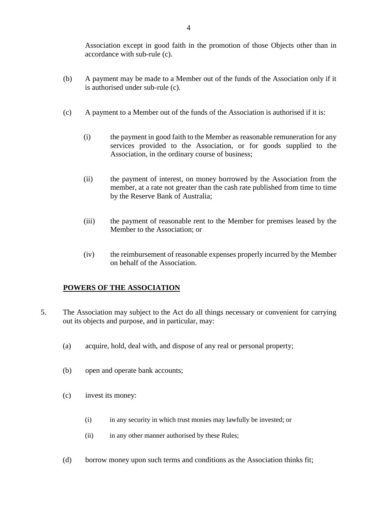Association except in good faith in the promotion of those Objects other than in accordance with sub-rule (c).

- (b) A payment may be made to a Member out of the funds of the Association only if it is authorised under sub-rule (c).
- (c) A payment to a Member out of the funds of the Association is authorised if it is:
	- (i) the payment in good faith to the Member as reasonable remuneration for any services provided to the Association, or for goods supplied to the Association, in the ordinary course of business;
	- (ii) the payment of interest, on money borrowed by the Association from the member, at a rate not greater than the cash rate published from time to time by the Reserve Bank of Australia;
	- (iii) the payment of reasonable rent to the Member for premises leased by the Member to the Association; or
	- (iv) the reimbursement of reasonable expenses properly incurred by the Member on behalf of the Association.

## **POWERS OF THE ASSOCIATION**

- 5. The Association may subject to the Act do all things necessary or convenient for carrying out its objects and purpose, and in particular, may:
	- (a) acquire, hold, deal with, and dispose of any real or personal property;
	- (b) open and operate bank accounts;
	- (c) invest its money:
		- (i) in any security in which trust monies may lawfully be invested; or
		- (ii) in any other manner authorised by these Rules;
	- (d) borrow money upon such terms and conditions as the Association thinks fit;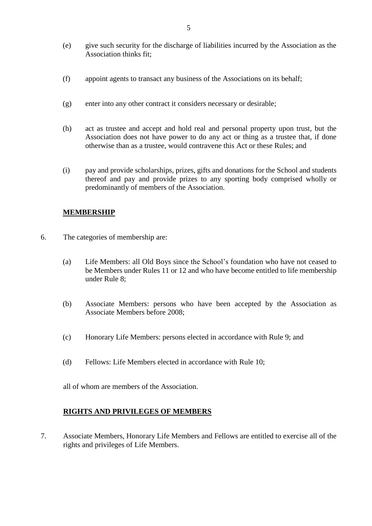- (e) give such security for the discharge of liabilities incurred by the Association as the Association thinks fit;
- (f) appoint agents to transact any business of the Associations on its behalf;
- (g) enter into any other contract it considers necessary or desirable;
- (h) act as trustee and accept and hold real and personal property upon trust, but the Association does not have power to do any act or thing as a trustee that, if done otherwise than as a trustee, would contravene this Act or these Rules; and
- (i) pay and provide scholarships, prizes, gifts and donations for the School and students thereof and pay and provide prizes to any sporting body comprised wholly or predominantly of members of the Association.

## **MEMBERSHIP**

- 6. The categories of membership are:
	- (a) Life Members: all Old Boys since the School's foundation who have not ceased to be Members under Rules 11 or 12 and who have become entitled to life membership under Rule 8;
	- (b) Associate Members: persons who have been accepted by the Association as Associate Members before 2008;
	- (c) Honorary Life Members: persons elected in accordance with Rule 9; and
	- (d) Fellows: Life Members elected in accordance with Rule 10;

all of whom are members of the Association.

#### **RIGHTS AND PRIVILEGES OF MEMBERS**

7. Associate Members, Honorary Life Members and Fellows are entitled to exercise all of the rights and privileges of Life Members.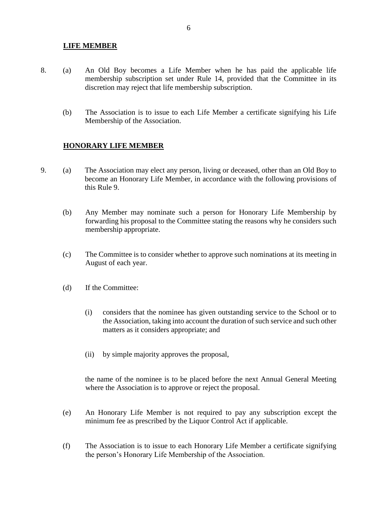#### **LIFE MEMBER**

- 8. (a) An Old Boy becomes a Life Member when he has paid the applicable life membership subscription set under Rule 14, provided that the Committee in its discretion may reject that life membership subscription.
	- (b) The Association is to issue to each Life Member a certificate signifying his Life Membership of the Association.

#### **HONORARY LIFE MEMBER**

- 9. (a) The Association may elect any person, living or deceased, other than an Old Boy to become an Honorary Life Member, in accordance with the following provisions of this Rule 9.
	- (b) Any Member may nominate such a person for Honorary Life Membership by forwarding his proposal to the Committee stating the reasons why he considers such membership appropriate.
	- (c) The Committee is to consider whether to approve such nominations at its meeting in August of each year.
	- (d) If the Committee:
		- (i) considers that the nominee has given outstanding service to the School or to the Association, taking into account the duration of such service and such other matters as it considers appropriate; and
		- (ii) by simple majority approves the proposal,

the name of the nominee is to be placed before the next Annual General Meeting where the Association is to approve or reject the proposal.

- (e) An Honorary Life Member is not required to pay any subscription except the minimum fee as prescribed by the Liquor Control Act if applicable.
- (f) The Association is to issue to each Honorary Life Member a certificate signifying the person's Honorary Life Membership of the Association.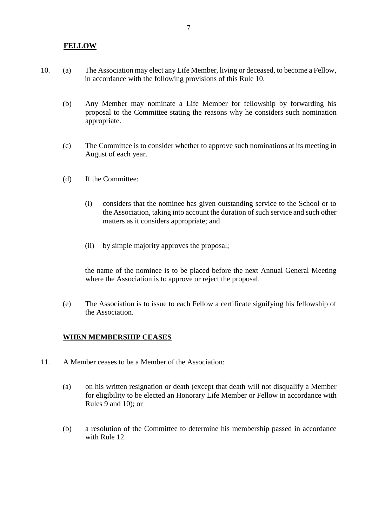#### **FELLOW**

- 10. (a) The Association may elect any Life Member, living or deceased, to become a Fellow, in accordance with the following provisions of this Rule 10.
	- (b) Any Member may nominate a Life Member for fellowship by forwarding his proposal to the Committee stating the reasons why he considers such nomination appropriate.
	- (c) The Committee is to consider whether to approve such nominations at its meeting in August of each year.
	- (d) If the Committee:
		- (i) considers that the nominee has given outstanding service to the School or to the Association, taking into account the duration of such service and such other matters as it considers appropriate; and
		- (ii) by simple majority approves the proposal;

the name of the nominee is to be placed before the next Annual General Meeting where the Association is to approve or reject the proposal.

(e) The Association is to issue to each Fellow a certificate signifying his fellowship of the Association.

#### **WHEN MEMBERSHIP CEASES**

- 11. A Member ceases to be a Member of the Association:
	- (a) on his written resignation or death (except that death will not disqualify a Member for eligibility to be elected an Honorary Life Member or Fellow in accordance with Rules 9 and 10); or
	- (b) a resolution of the Committee to determine his membership passed in accordance with Rule 12.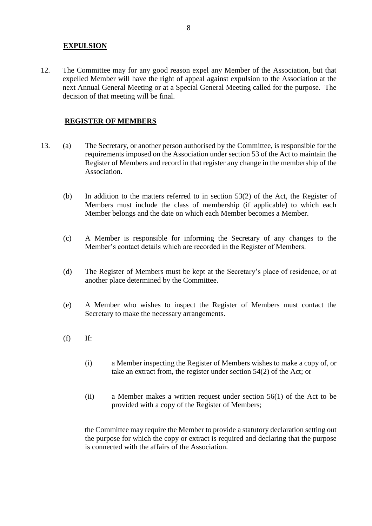## **EXPULSION**

12. The Committee may for any good reason expel any Member of the Association, but that expelled Member will have the right of appeal against expulsion to the Association at the next Annual General Meeting or at a Special General Meeting called for the purpose. The decision of that meeting will be final.

#### **REGISTER OF MEMBERS**

- 13. (a) The Secretary, or another person authorised by the Committee, is responsible for the requirements imposed on the Association under section 53 of the Act to maintain the Register of Members and record in that register any change in the membership of the Association.
	- (b) In addition to the matters referred to in section 53(2) of the Act, the Register of Members must include the class of membership (if applicable) to which each Member belongs and the date on which each Member becomes a Member.
	- (c) A Member is responsible for informing the Secretary of any changes to the Member's contact details which are recorded in the Register of Members.
	- (d) The Register of Members must be kept at the Secretary's place of residence, or at another place determined by the Committee.
	- (e) A Member who wishes to inspect the Register of Members must contact the Secretary to make the necessary arrangements.
	- $(f)$  If:
		- (i) a Member inspecting the Register of Members wishes to make a copy of, or take an extract from, the register under section 54(2) of the Act; or
		- (ii) a Member makes a written request under section 56(1) of the Act to be provided with a copy of the Register of Members;

the Committee may require the Member to provide a statutory declaration setting out the purpose for which the copy or extract is required and declaring that the purpose is connected with the affairs of the Association.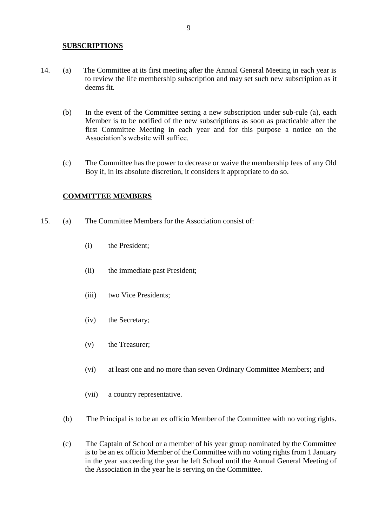#### **SUBSCRIPTIONS**

- 14. (a) The Committee at its first meeting after the Annual General Meeting in each year is to review the life membership subscription and may set such new subscription as it deems fit.
	- (b) In the event of the Committee setting a new subscription under sub-rule (a), each Member is to be notified of the new subscriptions as soon as practicable after the first Committee Meeting in each year and for this purpose a notice on the Association's website will suffice.
	- (c) The Committee has the power to decrease or waive the membership fees of any Old Boy if, in its absolute discretion, it considers it appropriate to do so.

#### **COMMITTEE MEMBERS**

- 15. (a) The Committee Members for the Association consist of:
	- (i) the President;
	- (ii) the immediate past President;
	- (iii) two Vice Presidents;
	- (iv) the Secretary;
	- (v) the Treasurer;
	- (vi) at least one and no more than seven Ordinary Committee Members; and
	- (vii) a country representative.
	- (b) The Principal is to be an ex officio Member of the Committee with no voting rights.
	- (c) The Captain of School or a member of his year group nominated by the Committee is to be an ex officio Member of the Committee with no voting rights from 1 January in the year succeeding the year he left School until the Annual General Meeting of the Association in the year he is serving on the Committee.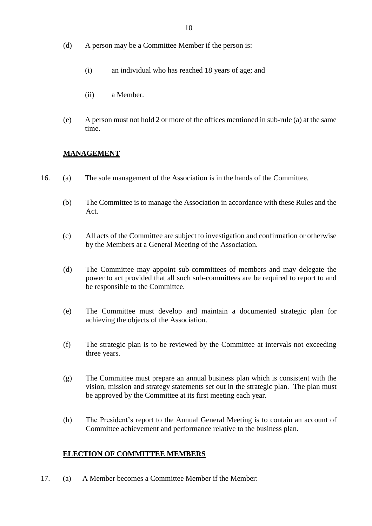- (d) A person may be a Committee Member if the person is:
	- (i) an individual who has reached 18 years of age; and
	- (ii) a Member.
- (e) A person must not hold 2 or more of the offices mentioned in sub-rule (a) at the same time.

# **MANAGEMENT**

- 16. (a) The sole management of the Association is in the hands of the Committee.
	- (b) The Committee is to manage the Association in accordance with these Rules and the Act.
	- (c) All acts of the Committee are subject to investigation and confirmation or otherwise by the Members at a General Meeting of the Association.
	- (d) The Committee may appoint sub-committees of members and may delegate the power to act provided that all such sub-committees are be required to report to and be responsible to the Committee.
	- (e) The Committee must develop and maintain a documented strategic plan for achieving the objects of the Association.
	- (f) The strategic plan is to be reviewed by the Committee at intervals not exceeding three years.
	- (g) The Committee must prepare an annual business plan which is consistent with the vision, mission and strategy statements set out in the strategic plan. The plan must be approved by the Committee at its first meeting each year.
	- (h) The President's report to the Annual General Meeting is to contain an account of Committee achievement and performance relative to the business plan.

# **ELECTION OF COMMITTEE MEMBERS**

17. (a) A Member becomes a Committee Member if the Member: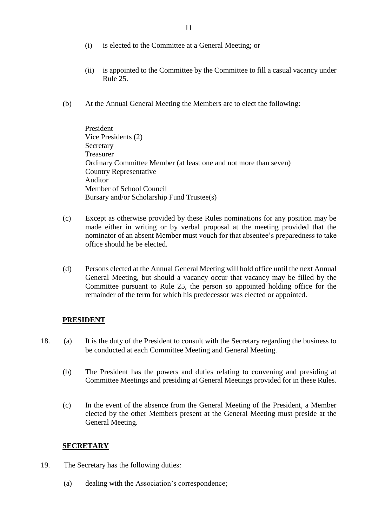- (i) is elected to the Committee at a General Meeting; or
- (ii) is appointed to the Committee by the Committee to fill a casual vacancy under Rule 25.
- (b) At the Annual General Meeting the Members are to elect the following:

 President Vice Presidents (2) Secretary Treasurer Ordinary Committee Member (at least one and not more than seven) Country Representative Auditor Member of School Council Bursary and/or Scholarship Fund Trustee(s)

- (c) Except as otherwise provided by these Rules nominations for any position may be made either in writing or by verbal proposal at the meeting provided that the nominator of an absent Member must vouch for that absentee's preparedness to take office should he be elected.
- (d) Persons elected at the Annual General Meeting will hold office until the next Annual General Meeting, but should a vacancy occur that vacancy may be filled by the Committee pursuant to Rule 25, the person so appointed holding office for the remainder of the term for which his predecessor was elected or appointed.

#### **PRESIDENT**

- 18. (a) It is the duty of the President to consult with the Secretary regarding the business to be conducted at each Committee Meeting and General Meeting.
	- (b) The President has the powers and duties relating to convening and presiding at Committee Meetings and presiding at General Meetings provided for in these Rules.
	- (c) In the event of the absence from the General Meeting of the President, a Member elected by the other Members present at the General Meeting must preside at the General Meeting.

#### **SECRETARY**

- 19. The Secretary has the following duties:
	- (a) dealing with the Association's correspondence;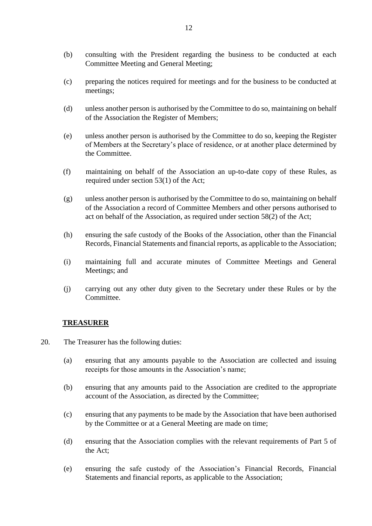- (b) consulting with the President regarding the business to be conducted at each Committee Meeting and General Meeting;
- (c) preparing the notices required for meetings and for the business to be conducted at meetings;
- (d) unless another person is authorised by the Committee to do so, maintaining on behalf of the Association the Register of Members;
- (e) unless another person is authorised by the Committee to do so, keeping the Register of Members at the Secretary's place of residence, or at another place determined by the Committee.
- (f) maintaining on behalf of the Association an up-to-date copy of these Rules, as required under section 53(1) of the Act;
- (g) unless another person is authorised by the Committee to do so, maintaining on behalf of the Association a record of Committee Members and other persons authorised to act on behalf of the Association, as required under section 58(2) of the Act;
- (h) ensuring the safe custody of the Books of the Association, other than the Financial Records, Financial Statements and financial reports, as applicable to the Association;
- (i) maintaining full and accurate minutes of Committee Meetings and General Meetings; and
- (j) carrying out any other duty given to the Secretary under these Rules or by the Committee.

## **TREASURER**

- 20. The Treasurer has the following duties:
	- (a) ensuring that any amounts payable to the Association are collected and issuing receipts for those amounts in the Association's name;
	- (b) ensuring that any amounts paid to the Association are credited to the appropriate account of the Association, as directed by the Committee;
	- (c) ensuring that any payments to be made by the Association that have been authorised by the Committee or at a General Meeting are made on time;
	- (d) ensuring that the Association complies with the relevant requirements of Part 5 of the Act;
	- (e) ensuring the safe custody of the Association's Financial Records, Financial Statements and financial reports, as applicable to the Association;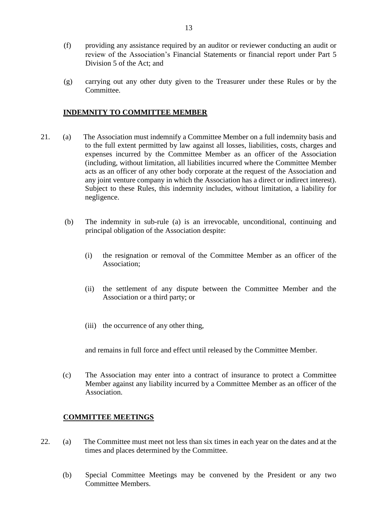- (f) providing any assistance required by an auditor or reviewer conducting an audit or review of the Association's Financial Statements or financial report under Part 5 Division 5 of the Act; and
- (g) carrying out any other duty given to the Treasurer under these Rules or by the Committee.

## **INDEMNITY TO COMMITTEE MEMBER**

- 21. (a) The Association must indemnify a Committee Member on a full indemnity basis and to the full extent permitted by law against all losses, liabilities, costs, charges and expenses incurred by the Committee Member as an officer of the Association (including, without limitation, all liabilities incurred where the Committee Member acts as an officer of any other body corporate at the request of the Association and any joint venture company in which the Association has a direct or indirect interest). Subject to these Rules, this indemnity includes, without limitation, a liability for negligence.
	- (b) The indemnity in sub-rule (a) is an irrevocable, unconditional, continuing and principal obligation of the Association despite:
		- (i) the resignation or removal of the Committee Member as an officer of the Association;
		- (ii) the settlement of any dispute between the Committee Member and the Association or a third party; or
		- (iii) the occurrence of any other thing,

and remains in full force and effect until released by the Committee Member.

(c) The Association may enter into a contract of insurance to protect a Committee Member against any liability incurred by a Committee Member as an officer of the Association.

#### **COMMITTEE MEETINGS**

- 22. (a) The Committee must meet not less than six times in each year on the dates and at the times and places determined by the Committee.
	- (b) Special Committee Meetings may be convened by the President or any two Committee Members.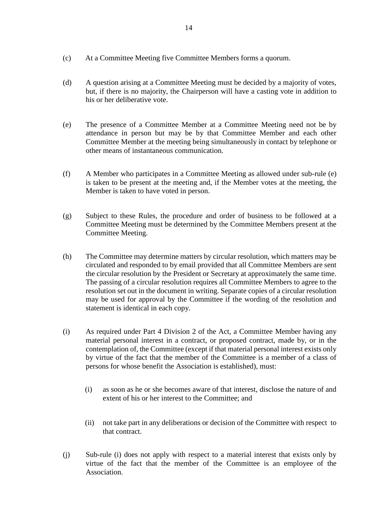- (c) At a Committee Meeting five Committee Members forms a quorum.
- (d) A question arising at a Committee Meeting must be decided by a majority of votes, but, if there is no majority, the Chairperson will have a casting vote in addition to his or her deliberative vote.
- (e) The presence of a Committee Member at a Committee Meeting need not be by attendance in person but may be by that Committee Member and each other Committee Member at the meeting being simultaneously in contact by telephone or other means of instantaneous communication.
- (f) A Member who participates in a Committee Meeting as allowed under sub-rule (e) is taken to be present at the meeting and, if the Member votes at the meeting, the Member is taken to have voted in person.
- (g) Subject to these Rules, the procedure and order of business to be followed at a Committee Meeting must be determined by the Committee Members present at the Committee Meeting.
- (h) The Committee may determine matters by circular resolution, which matters may be circulated and responded to by email provided that all Committee Members are sent the circular resolution by the President or Secretary at approximately the same time. The passing of a circular resolution requires all Committee Members to agree to the resolution set out in the document in writing. Separate copies of a circular resolution may be used for approval by the Committee if the wording of the resolution and statement is identical in each copy.
- (i) As required under Part 4 Division 2 of the Act, a Committee Member having any material personal interest in a contract, or proposed contract, made by, or in the contemplation of, the Committee (except if that material personal interest exists only by virtue of the fact that the member of the Committee is a member of a class of persons for whose benefit the Association is established), must:
	- (i) as soon as he or she becomes aware of that interest, disclose the nature of and extent of his or her interest to the Committee; and
	- (ii) not take part in any deliberations or decision of the Committee with respect to that contract.
- (j) Sub-rule (i) does not apply with respect to a material interest that exists only by virtue of the fact that the member of the Committee is an employee of the Association.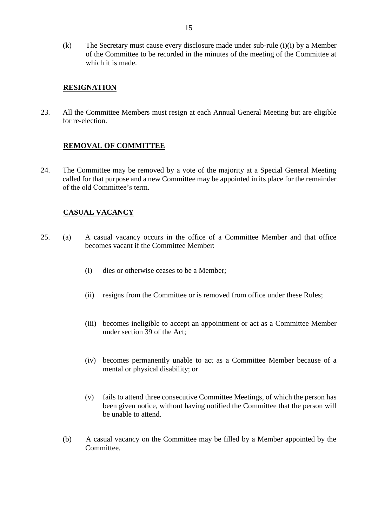(k) The Secretary must cause every disclosure made under sub-rule (i)(i) by a Member of the Committee to be recorded in the minutes of the meeting of the Committee at which it is made.

#### **RESIGNATION**

23. All the Committee Members must resign at each Annual General Meeting but are eligible for re-election.

## **REMOVAL OF COMMITTEE**

24. The Committee may be removed by a vote of the majority at a Special General Meeting called for that purpose and a new Committee may be appointed in its place for the remainder of the old Committee's term.

## **CASUAL VACANCY**

- 25. (a) A casual vacancy occurs in the office of a Committee Member and that office becomes vacant if the Committee Member:
	- (i) dies or otherwise ceases to be a Member;
	- (ii) resigns from the Committee or is removed from office under these Rules;
	- (iii) becomes ineligible to accept an appointment or act as a Committee Member under section 39 of the Act;
	- (iv) becomes permanently unable to act as a Committee Member because of a mental or physical disability; or
	- (v) fails to attend three consecutive Committee Meetings, of which the person has been given notice, without having notified the Committee that the person will be unable to attend.
	- (b) A casual vacancy on the Committee may be filled by a Member appointed by the Committee.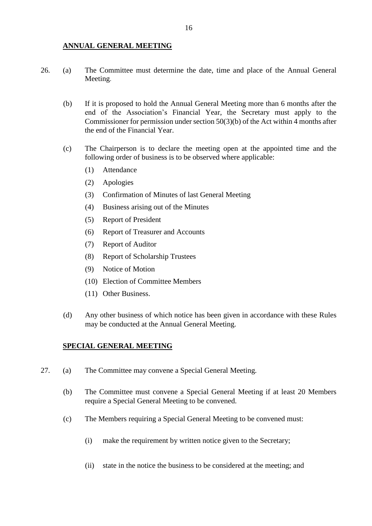#### **ANNUAL GENERAL MEETING**

- 26. (a) The Committee must determine the date, time and place of the Annual General Meeting.
	- (b) If it is proposed to hold the Annual General Meeting more than 6 months after the end of the Association's Financial Year, the Secretary must apply to the Commissioner for permission under section 50(3)(b) of the Act within 4 months after the end of the Financial Year.
	- (c) The Chairperson is to declare the meeting open at the appointed time and the following order of business is to be observed where applicable:
		- (1) Attendance
		- (2) Apologies
		- (3) Confirmation of Minutes of last General Meeting
		- (4) Business arising out of the Minutes
		- (5) Report of President
		- (6) Report of Treasurer and Accounts
		- (7) Report of Auditor
		- (8) Report of Scholarship Trustees
		- (9) Notice of Motion
		- (10) Election of Committee Members
		- (11) Other Business.
	- (d) Any other business of which notice has been given in accordance with these Rules may be conducted at the Annual General Meeting.

#### **SPECIAL GENERAL MEETING**

- 27. (a) The Committee may convene a Special General Meeting.
	- (b) The Committee must convene a Special General Meeting if at least 20 Members require a Special General Meeting to be convened.
	- (c) The Members requiring a Special General Meeting to be convened must:
		- (i) make the requirement by written notice given to the Secretary;
		- (ii) state in the notice the business to be considered at the meeting; and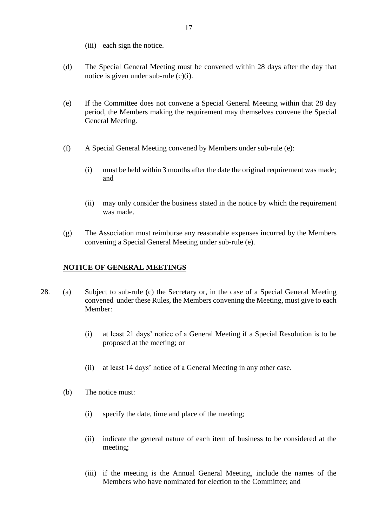- (iii) each sign the notice.
- (d) The Special General Meeting must be convened within 28 days after the day that notice is given under sub-rule (c)(i).
- (e) If the Committee does not convene a Special General Meeting within that 28 day period, the Members making the requirement may themselves convene the Special General Meeting.
- (f) A Special General Meeting convened by Members under sub-rule (e):
	- (i) must be held within 3 months after the date the original requirement was made; and
	- (ii) may only consider the business stated in the notice by which the requirement was made.
- (g) The Association must reimburse any reasonable expenses incurred by the Members convening a Special General Meeting under sub-rule (e).

#### **NOTICE OF GENERAL MEETINGS**

- 28. (a) Subject to sub-rule (c) the Secretary or, in the case of a Special General Meeting convened under these Rules, the Members convening the Meeting, must give to each Member:
	- (i) at least 21 days' notice of a General Meeting if a Special Resolution is to be proposed at the meeting; or
	- (ii) at least 14 days' notice of a General Meeting in any other case.
	- (b) The notice must:
		- (i) specify the date, time and place of the meeting;
		- (ii) indicate the general nature of each item of business to be considered at the meeting;
		- (iii) if the meeting is the Annual General Meeting, include the names of the Members who have nominated for election to the Committee; and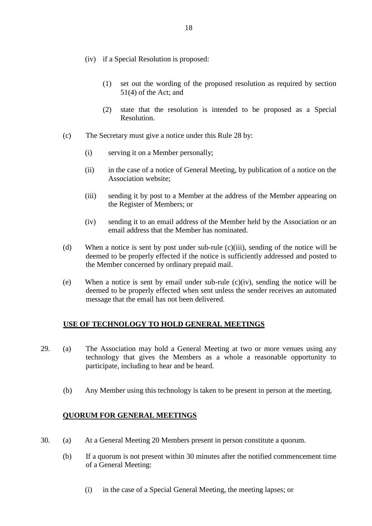- (iv) if a Special Resolution is proposed:
	- (1) set out the wording of the proposed resolution as required by section 51(4) of the Act; and
	- (2) state that the resolution is intended to be proposed as a Special Resolution.
- (c) The Secretary must give a notice under this Rule 28 by:
	- (i) serving it on a Member personally;
	- (ii) in the case of a notice of General Meeting, by publication of a notice on the Association website;
	- (iii) sending it by post to a Member at the address of the Member appearing on the Register of Members; or
	- (iv) sending it to an email address of the Member held by the Association or an email address that the Member has nominated.
- (d) When a notice is sent by post under sub-rule (c)(iii), sending of the notice will be deemed to be properly effected if the notice is sufficiently addressed and posted to the Member concerned by ordinary prepaid mail.
- (e) When a notice is sent by email under sub-rule (c)(iv), sending the notice will be deemed to be properly effected when sent unless the sender receives an automated message that the email has not been delivered.

## **USE OF TECHNOLOGY TO HOLD GENERAL MEETINGS**

- 29. (a) The Association may hold a General Meeting at two or more venues using any technology that gives the Members as a whole a reasonable opportunity to participate, including to hear and be heard.
	- (b) Any Member using this technology is taken to be present in person at the meeting.

#### **QUORUM FOR GENERAL MEETINGS**

- 30. (a) At a General Meeting 20 Members present in person constitute a quorum.
	- (b) If a quorum is not present within 30 minutes after the notified commencement time of a General Meeting:
		- (i) in the case of a Special General Meeting, the meeting lapses; or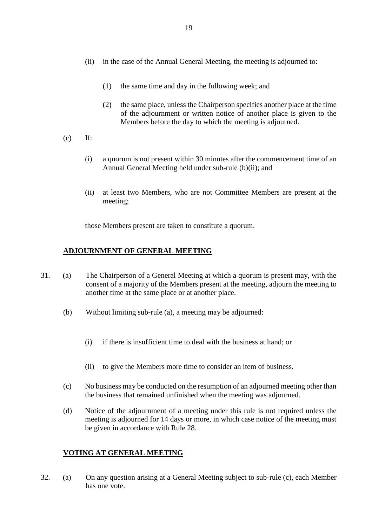- (ii) in the case of the Annual General Meeting, the meeting is adjourned to:
	- (1) the same time and day in the following week; and
	- (2) the same place, unless the Chairperson specifies another place at the time of the adjournment or written notice of another place is given to the Members before the day to which the meeting is adjourned.
- $(c)$  If:
	- (i) a quorum is not present within 30 minutes after the commencement time of an Annual General Meeting held under sub-rule (b)(ii); and
	- (ii) at least two Members, who are not Committee Members are present at the meeting;

those Members present are taken to constitute a quorum.

## **ADJOURNMENT OF GENERAL MEETING**

- 31. (a) The Chairperson of a General Meeting at which a quorum is present may, with the consent of a majority of the Members present at the meeting, adjourn the meeting to another time at the same place or at another place.
	- (b) Without limiting sub-rule (a), a meeting may be adjourned:
		- (i) if there is insufficient time to deal with the business at hand; or
		- (ii) to give the Members more time to consider an item of business.
	- (c) No business may be conducted on the resumption of an adjourned meeting other than the business that remained unfinished when the meeting was adjourned.
	- (d) Notice of the adjournment of a meeting under this rule is not required unless the meeting is adjourned for 14 days or more, in which case notice of the meeting must be given in accordance with Rule 28.

## **VOTING AT GENERAL MEETING**

32. (a) On any question arising at a General Meeting subject to sub-rule (c), each Member has one vote.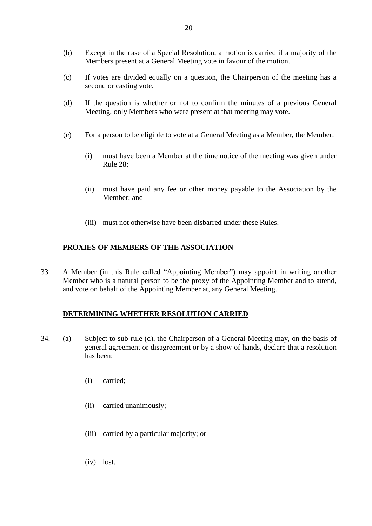- (b) Except in the case of a Special Resolution, a motion is carried if a majority of the Members present at a General Meeting vote in favour of the motion.
- (c) If votes are divided equally on a question, the Chairperson of the meeting has a second or casting vote.
- (d) If the question is whether or not to confirm the minutes of a previous General Meeting, only Members who were present at that meeting may vote.
- (e) For a person to be eligible to vote at a General Meeting as a Member, the Member:
	- (i) must have been a Member at the time notice of the meeting was given under Rule 28;
	- (ii) must have paid any fee or other money payable to the Association by the Member; and
	- (iii) must not otherwise have been disbarred under these Rules.

## **PROXIES OF MEMBERS OF THE ASSOCIATION**

33. A Member (in this Rule called "Appointing Member") may appoint in writing another Member who is a natural person to be the proxy of the Appointing Member and to attend, and vote on behalf of the Appointing Member at, any General Meeting.

#### **DETERMINING WHETHER RESOLUTION CARRIED**

- 34. (a) Subject to sub-rule (d), the Chairperson of a General Meeting may, on the basis of general agreement or disagreement or by a show of hands, declare that a resolution has been:
	- (i) carried;
	- (ii) carried unanimously;
	- (iii) carried by a particular majority; or
	- (iv) lost.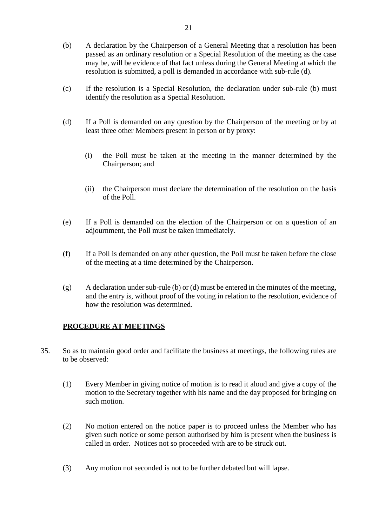- (b) A declaration by the Chairperson of a General Meeting that a resolution has been passed as an ordinary resolution or a Special Resolution of the meeting as the case may be, will be evidence of that fact unless during the General Meeting at which the resolution is submitted, a poll is demanded in accordance with sub-rule (d).
- (c) If the resolution is a Special Resolution, the declaration under sub-rule (b) must identify the resolution as a Special Resolution.
- (d) If a Poll is demanded on any question by the Chairperson of the meeting or by at least three other Members present in person or by proxy:
	- (i) the Poll must be taken at the meeting in the manner determined by the Chairperson; and
	- (ii) the Chairperson must declare the determination of the resolution on the basis of the Poll.
- (e) If a Poll is demanded on the election of the Chairperson or on a question of an adjournment, the Poll must be taken immediately.
- (f) If a Poll is demanded on any other question, the Poll must be taken before the close of the meeting at a time determined by the Chairperson.
- (g) A declaration under sub-rule (b) or (d) must be entered in the minutes of the meeting, and the entry is, without proof of the voting in relation to the resolution, evidence of how the resolution was determined.

## **PROCEDURE AT MEETINGS**

- 35. So as to maintain good order and facilitate the business at meetings, the following rules are to be observed:
	- (1) Every Member in giving notice of motion is to read it aloud and give a copy of the motion to the Secretary together with his name and the day proposed for bringing on such motion.
	- (2) No motion entered on the notice paper is to proceed unless the Member who has given such notice or some person authorised by him is present when the business is called in order. Notices not so proceeded with are to be struck out.
	- (3) Any motion not seconded is not to be further debated but will lapse.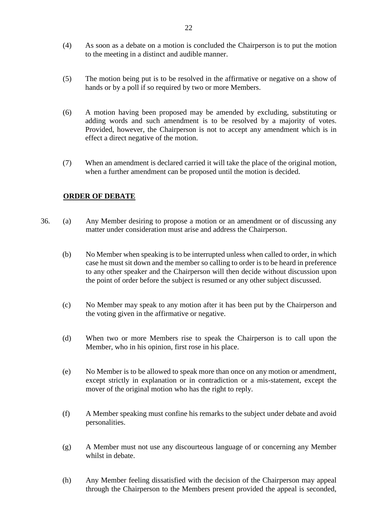- (4) As soon as a debate on a motion is concluded the Chairperson is to put the motion to the meeting in a distinct and audible manner.
- (5) The motion being put is to be resolved in the affirmative or negative on a show of hands or by a poll if so required by two or more Members.
- (6) A motion having been proposed may be amended by excluding, substituting or adding words and such amendment is to be resolved by a majority of votes. Provided, however, the Chairperson is not to accept any amendment which is in effect a direct negative of the motion.
- (7) When an amendment is declared carried it will take the place of the original motion, when a further amendment can be proposed until the motion is decided.

# **ORDER OF DEBATE**

- 36. (a) Any Member desiring to propose a motion or an amendment or of discussing any matter under consideration must arise and address the Chairperson.
	- (b) No Member when speaking is to be interrupted unless when called to order, in which case he must sit down and the member so calling to order is to be heard in preference to any other speaker and the Chairperson will then decide without discussion upon the point of order before the subject is resumed or any other subject discussed.
	- (c) No Member may speak to any motion after it has been put by the Chairperson and the voting given in the affirmative or negative.
	- (d) When two or more Members rise to speak the Chairperson is to call upon the Member, who in his opinion, first rose in his place.
	- (e) No Member is to be allowed to speak more than once on any motion or amendment, except strictly in explanation or in contradiction or a mis-statement, except the mover of the original motion who has the right to reply.
	- (f) A Member speaking must confine his remarks to the subject under debate and avoid personalities.
	- (g) A Member must not use any discourteous language of or concerning any Member whilst in debate.
	- (h) Any Member feeling dissatisfied with the decision of the Chairperson may appeal through the Chairperson to the Members present provided the appeal is seconded,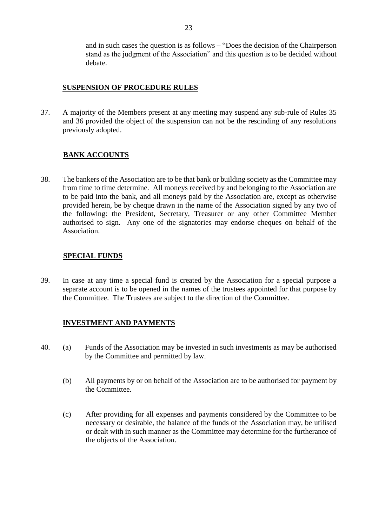and in such cases the question is as follows – "Does the decision of the Chairperson stand as the judgment of the Association" and this question is to be decided without debate.

#### **SUSPENSION OF PROCEDURE RULES**

37. A majority of the Members present at any meeting may suspend any sub-rule of Rules 35 and 36 provided the object of the suspension can not be the rescinding of any resolutions previously adopted.

## **BANK ACCOUNTS**

38. The bankers of the Association are to be that bank or building society as the Committee may from time to time determine. All moneys received by and belonging to the Association are to be paid into the bank, and all moneys paid by the Association are, except as otherwise provided herein, be by cheque drawn in the name of the Association signed by any two of the following: the President, Secretary, Treasurer or any other Committee Member authorised to sign. Any one of the signatories may endorse cheques on behalf of the Association.

#### **SPECIAL FUNDS**

39. In case at any time a special fund is created by the Association for a special purpose a separate account is to be opened in the names of the trustees appointed for that purpose by the Committee. The Trustees are subject to the direction of the Committee.

## **INVESTMENT AND PAYMENTS**

- 40. (a) Funds of the Association may be invested in such investments as may be authorised by the Committee and permitted by law.
	- (b) All payments by or on behalf of the Association are to be authorised for payment by the Committee.
	- (c) After providing for all expenses and payments considered by the Committee to be necessary or desirable, the balance of the funds of the Association may, be utilised or dealt with in such manner as the Committee may determine for the furtherance of the objects of the Association.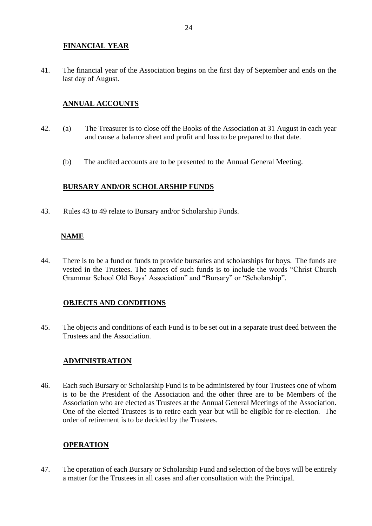## **FINANCIAL YEAR**

41. The financial year of the Association begins on the first day of September and ends on the last day of August.

## **ANNUAL ACCOUNTS**

- 42. (a) The Treasurer is to close off the Books of the Association at 31 August in each year and cause a balance sheet and profit and loss to be prepared to that date.
	- (b) The audited accounts are to be presented to the Annual General Meeting.

## **BURSARY AND/OR SCHOLARSHIP FUNDS**

43. Rules 43 to 49 relate to Bursary and/or Scholarship Funds.

## **NAME**

44. There is to be a fund or funds to provide bursaries and scholarships for boys. The funds are vested in the Trustees. The names of such funds is to include the words "Christ Church Grammar School Old Boys' Association" and "Bursary" or "Scholarship".

## **OBJECTS AND CONDITIONS**

45. The objects and conditions of each Fund is to be set out in a separate trust deed between the Trustees and the Association.

## **ADMINISTRATION**

46. Each such Bursary or Scholarship Fund is to be administered by four Trustees one of whom is to be the President of the Association and the other three are to be Members of the Association who are elected as Trustees at the Annual General Meetings of the Association. One of the elected Trustees is to retire each year but will be eligible for re-election. The order of retirement is to be decided by the Trustees.

#### **OPERATION**

47. The operation of each Bursary or Scholarship Fund and selection of the boys will be entirely a matter for the Trustees in all cases and after consultation with the Principal.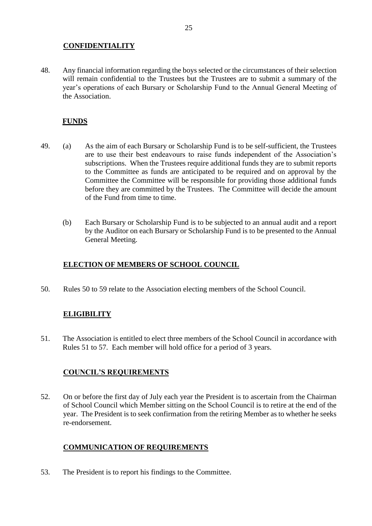## **CONFIDENTIALITY**

48. Any financial information regarding the boys selected or the circumstances of their selection will remain confidential to the Trustees but the Trustees are to submit a summary of the year's operations of each Bursary or Scholarship Fund to the Annual General Meeting of the Association.

## **FUNDS**

- 49. (a) As the aim of each Bursary or Scholarship Fund is to be self-sufficient, the Trustees are to use their best endeavours to raise funds independent of the Association's subscriptions. When the Trustees require additional funds they are to submit reports to the Committee as funds are anticipated to be required and on approval by the Committee the Committee will be responsible for providing those additional funds before they are committed by the Trustees. The Committee will decide the amount of the Fund from time to time.
	- (b) Each Bursary or Scholarship Fund is to be subjected to an annual audit and a report by the Auditor on each Bursary or Scholarship Fund is to be presented to the Annual General Meeting.

## **ELECTION OF MEMBERS OF SCHOOL COUNCIL**

50. Rules 50 to 59 relate to the Association electing members of the School Council.

## **ELIGIBILITY**

51. The Association is entitled to elect three members of the School Council in accordance with Rules 51 to 57. Each member will hold office for a period of 3 years.

## **COUNCIL'S REQUIREMENTS**

52. On or before the first day of July each year the President is to ascertain from the Chairman of School Council which Member sitting on the School Council is to retire at the end of the year. The President is to seek confirmation from the retiring Member as to whether he seeks re-endorsement.

# **COMMUNICATION OF REQUIREMENTS**

53. The President is to report his findings to the Committee.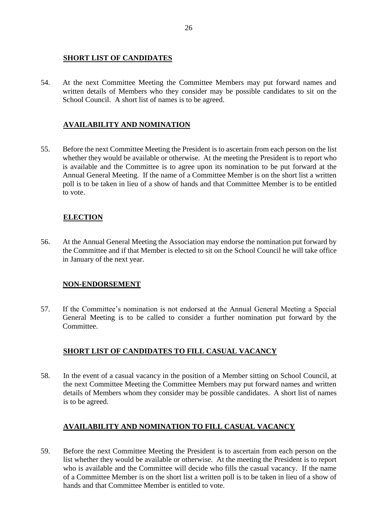#### **SHORT LIST OF CANDIDATES**

54. At the next Committee Meeting the Committee Members may put forward names and written details of Members who they consider may be possible candidates to sit on the School Council. A short list of names is to be agreed.

## **AVAILABILITY AND NOMINATION**

55. Before the next Committee Meeting the President is to ascertain from each person on the list whether they would be available or otherwise. At the meeting the President is to report who is available and the Committee is to agree upon its nomination to be put forward at the Annual General Meeting. If the name of a Committee Member is on the short list a written poll is to be taken in lieu of a show of hands and that Committee Member is to be entitled to vote.

# **ELECTION**

56. At the Annual General Meeting the Association may endorse the nomination put forward by the Committee and if that Member is elected to sit on the School Council he will take office in January of the next year.

## **NON-ENDORSEMENT**

57. If the Committee's nomination is not endorsed at the Annual General Meeting a Special General Meeting is to be called to consider a further nomination put forward by the Committee.

# **SHORT LIST OF CANDIDATES TO FILL CASUAL VACANCY**

58. In the event of a casual vacancy in the position of a Member sitting on School Council, at the next Committee Meeting the Committee Members may put forward names and written details of Members whom they consider may be possible candidates. A short list of names is to be agreed.

## **AVAILABILITY AND NOMINATION TO FILL CASUAL VACANCY**

59. Before the next Committee Meeting the President is to ascertain from each person on the list whether they would be available or otherwise. At the meeting the President is to report who is available and the Committee will decide who fills the casual vacancy. If the name of a Committee Member is on the short list a written poll is to be taken in lieu of a show of hands and that Committee Member is entitled to vote.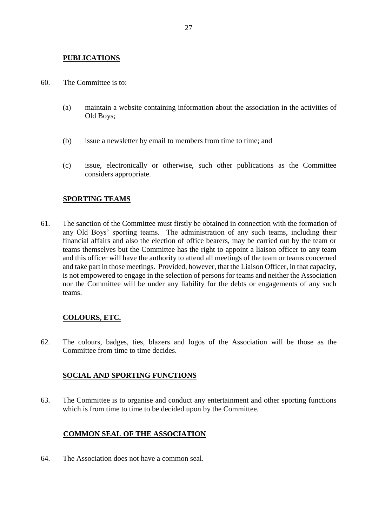#### **PUBLICATIONS**

- 60. The Committee is to:
	- (a) maintain a website containing information about the association in the activities of Old Boys;
	- (b) issue a newsletter by email to members from time to time; and
	- (c) issue, electronically or otherwise, such other publications as the Committee considers appropriate.

## **SPORTING TEAMS**

61. The sanction of the Committee must firstly be obtained in connection with the formation of any Old Boys' sporting teams. The administration of any such teams, including their financial affairs and also the election of office bearers, may be carried out by the team or teams themselves but the Committee has the right to appoint a liaison officer to any team and this officer will have the authority to attend all meetings of the team or teams concerned and take part in those meetings. Provided, however, that the Liaison Officer, in that capacity, is not empowered to engage in the selection of persons for teams and neither the Association nor the Committee will be under any liability for the debts or engagements of any such teams.

## **COLOURS, ETC.**

62. The colours, badges, ties, blazers and logos of the Association will be those as the Committee from time to time decides.

#### **SOCIAL AND SPORTING FUNCTIONS**

63. The Committee is to organise and conduct any entertainment and other sporting functions which is from time to time to be decided upon by the Committee.

#### **COMMON SEAL OF THE ASSOCIATION**

64. The Association does not have a common seal.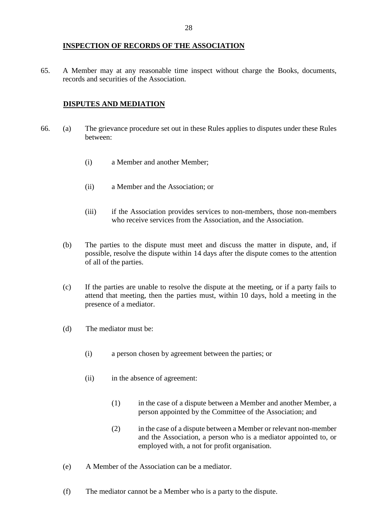#### **INSPECTION OF RECORDS OF THE ASSOCIATION**

65. A Member may at any reasonable time inspect without charge the Books, documents, records and securities of the Association.

#### **DISPUTES AND MEDIATION**

- 66. (a) The grievance procedure set out in these Rules applies to disputes under these Rules between:
	- (i) a Member and another Member;
	- (ii) a Member and the Association; or
	- (iii) if the Association provides services to non-members, those non-members who receive services from the Association, and the Association.
	- (b) The parties to the dispute must meet and discuss the matter in dispute, and, if possible, resolve the dispute within 14 days after the dispute comes to the attention of all of the parties.
	- (c) If the parties are unable to resolve the dispute at the meeting, or if a party fails to attend that meeting, then the parties must, within 10 days, hold a meeting in the presence of a mediator.
	- (d) The mediator must be:
		- (i) a person chosen by agreement between the parties; or
		- (ii) in the absence of agreement:
			- (1) in the case of a dispute between a Member and another Member, a person appointed by the Committee of the Association; and
			- (2) in the case of a dispute between a Member or relevant non-member and the Association, a person who is a mediator appointed to, or employed with, a not for profit organisation.
	- (e) A Member of the Association can be a mediator.
	- (f) The mediator cannot be a Member who is a party to the dispute.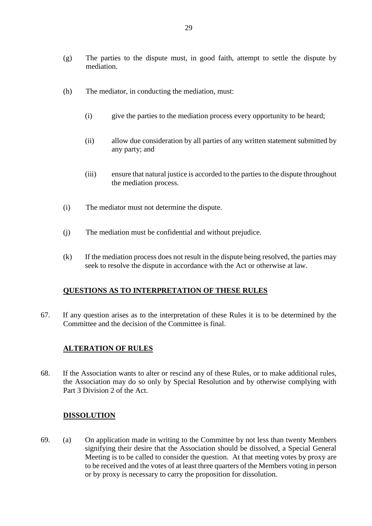- (h) The mediator, in conducting the mediation, must:
	- (i) give the parties to the mediation process every opportunity to be heard;
	- (ii) allow due consideration by all parties of any written statement submitted by any party; and
	- (iii) ensure that natural justice is accorded to the parties to the dispute throughout the mediation process.
- (i) The mediator must not determine the dispute.
- (j) The mediation must be confidential and without prejudice.
- (k) If the mediation process does not result in the dispute being resolved, the parties may seek to resolve the dispute in accordance with the Act or otherwise at law.

#### **QUESTIONS AS TO INTERPRETATION OF THESE RULES**

67. If any question arises as to the interpretation of these Rules it is to be determined by the Committee and the decision of the Committee is final.

#### **ALTERATION OF RULES**

68. If the Association wants to alter or rescind any of these Rules, or to make additional rules, the Association may do so only by Special Resolution and by otherwise complying with Part 3 Division 2 of the Act.

#### **DISSOLUTION**

69. (a) On application made in writing to the Committee by not less than twenty Members signifying their desire that the Association should be dissolved, a Special General Meeting is to be called to consider the question. At that meeting votes by proxy are to be received and the votes of at least three quarters of the Members voting in person or by proxy is necessary to carry the proposition for dissolution.